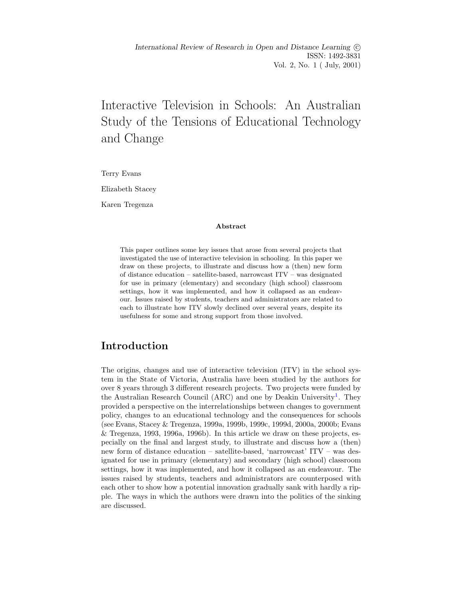International Review of Research in Open and Distance Learning  $\odot$ ISSN: 1492-3831 Vol. 2, No. 1 ( July, 2001)

# Interactive Television in Schools: An Australian Study of the Tensions of Educational Technology and Change

Terry Evans

Elizabeth Stacey

Karen Tregenza

#### <span id="page-0-0"></span>Abstract

This paper outlines some key issues that arose from several projects that investigated the use of interactive television in schooling. In this paper we draw on these projects, to illustrate and discuss how a (then) new form of distance education – satellite-based, narrowcast ITV – was designated for use in primary (elementary) and secondary (high school) classroom settings, how it was implemented, and how it collapsed as an endeavour. Issues raised by students, teachers and administrators are related to each to illustrate how ITV slowly declined over several years, despite its usefulness for some and strong support from those involved.

# Introduction

The origins, changes and use of interactive television (ITV) in the school system in the State of Victoria, Australia have been studied by the authors for over 8 years through 3 different research projects. Two projects were funded by the Australian Research Council (ARC) and one by Deakin University<sup>[1](#page-15-0)</sup>. They provided a perspective on the interrelationships between changes to government policy, changes to an educational technology and the consequences for schools (see Evans, Stacey & Tregenza, 1999a, 1999b, 1999c, 1999d, 2000a, 2000b; Evans & Tregenza, 1993, 1996a, 1996b). In this article we draw on these projects, especially on the final and largest study, to illustrate and discuss how a (then) new form of distance education – satellite-based, 'narrowcast' ITV – was designated for use in primary (elementary) and secondary (high school) classroom settings, how it was implemented, and how it collapsed as an endeavour. The issues raised by students, teachers and administrators are counterposed with each other to show how a potential innovation gradually sank with hardly a ripple. The ways in which the authors were drawn into the politics of the sinking are discussed.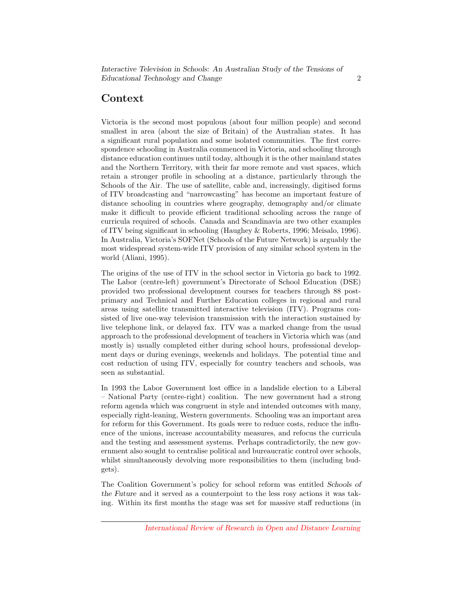## Context

Victoria is the second most populous (about four million people) and second smallest in area (about the size of Britain) of the Australian states. It has a significant rural population and some isolated communities. The first correspondence schooling in Australia commenced in Victoria, and schooling through distance education continues until today, although it is the other mainland states and the Northern Territory, with their far more remote and vast spaces, which retain a stronger profile in schooling at a distance, particularly through the Schools of the Air. The use of satellite, cable and, increasingly, digitised forms of ITV broadcasting and "narrowcasting" has become an important feature of distance schooling in countries where geography, demography and/or climate make it difficult to provide efficient traditional schooling across the range of curricula required of schools. Canada and Scandinavia are two other examples of ITV being significant in schooling (Haughey & Roberts, 1996; Meisalo, 1996). In Australia, Victoria's SOFNet (Schools of the Future Network) is arguably the most widespread system-wide ITV provision of any similar school system in the world (Aliani, 1995).

The origins of the use of ITV in the school sector in Victoria go back to 1992. The Labor (centre-left) government's Directorate of School Education (DSE) provided two professional development courses for teachers through 88 postprimary and Technical and Further Education colleges in regional and rural areas using satellite transmitted interactive television (ITV). Programs consisted of live one-way television transmission with the interaction sustained by live telephone link, or delayed fax. ITV was a marked change from the usual approach to the professional development of teachers in Victoria which was (and mostly is) usually completed either during school hours, professional development days or during evenings, weekends and holidays. The potential time and cost reduction of using ITV, especially for country teachers and schools, was seen as substantial.

In 1993 the Labor Government lost office in a landslide election to a Liberal – National Party (centre-right) coalition. The new government had a strong reform agenda which was congruent in style and intended outcomes with many, especially right-leaning, Western governments. Schooling was an important area for reform for this Government. Its goals were to reduce costs, reduce the influence of the unions, increase accountability measures, and refocus the curricula and the testing and assessment systems. Perhaps contradictorily, the new government also sought to centralise political and bureaucratic control over schools, whilst simultaneously devolving more responsibilities to them (including budgets).

The Coalition Government's policy for school reform was entitled Schools of the Future and it served as a counterpoint to the less rosy actions it was taking. Within its first months the stage was set for massive staff reductions (in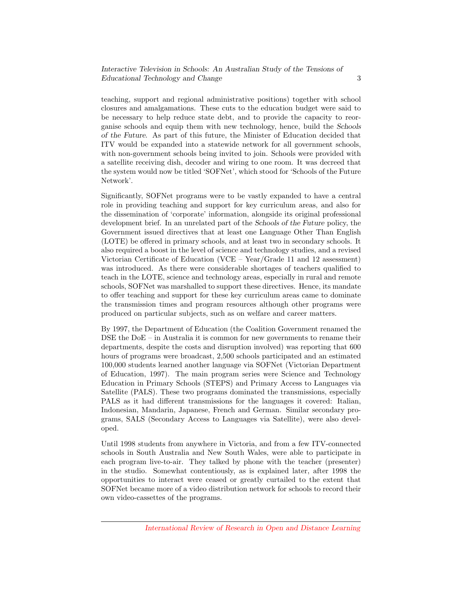teaching, support and regional administrative positions) together with school closures and amalgamations. These cuts to the education budget were said to be necessary to help reduce state debt, and to provide the capacity to reorganise schools and equip them with new technology, hence, build the Schools of the Future. As part of this future, the Minister of Education decided that ITV would be expanded into a statewide network for all government schools, with non-government schools being invited to join. Schools were provided with a satellite receiving dish, decoder and wiring to one room. It was decreed that the system would now be titled 'SOFNet', which stood for 'Schools of the Future Network'.

Significantly, SOFNet programs were to be vastly expanded to have a central role in providing teaching and support for key curriculum areas, and also for the dissemination of 'corporate' information, alongside its original professional development brief. In an unrelated part of the Schools of the Future policy, the Government issued directives that at least one Language Other Than English (LOTE) be offered in primary schools, and at least two in secondary schools. It also required a boost in the level of science and technology studies, and a revised Victorian Certificate of Education (VCE – Year/Grade 11 and 12 assessment) was introduced. As there were considerable shortages of teachers qualified to teach in the LOTE, science and technology areas, especially in rural and remote schools, SOFNet was marshalled to support these directives. Hence, its mandate to offer teaching and support for these key curriculum areas came to dominate the transmission times and program resources although other programs were produced on particular subjects, such as on welfare and career matters.

By 1997, the Department of Education (the Coalition Government renamed the DSE the  $DoE$  – in Australia it is common for new governments to rename their departments, despite the costs and disruption involved) was reporting that 600 hours of programs were broadcast, 2,500 schools participated and an estimated 100,000 students learned another language via SOFNet (Victorian Department of Education, 1997). The main program series were Science and Technology Education in Primary Schools (STEPS) and Primary Access to Languages via Satellite (PALS). These two programs dominated the transmissions, especially PALS as it had different transmissions for the languages it covered: Italian, Indonesian, Mandarin, Japanese, French and German. Similar secondary programs, SALS (Secondary Access to Languages via Satellite), were also developed.

Until 1998 students from anywhere in Victoria, and from a few ITV-connected schools in South Australia and New South Wales, were able to participate in each program live-to-air. They talked by phone with the teacher (presenter) in the studio. Somewhat contentiously, as is explained later, after 1998 the opportunities to interact were ceased or greatly curtailed to the extent that SOFNet became more of a video distribution network for schools to record their own video-cassettes of the programs.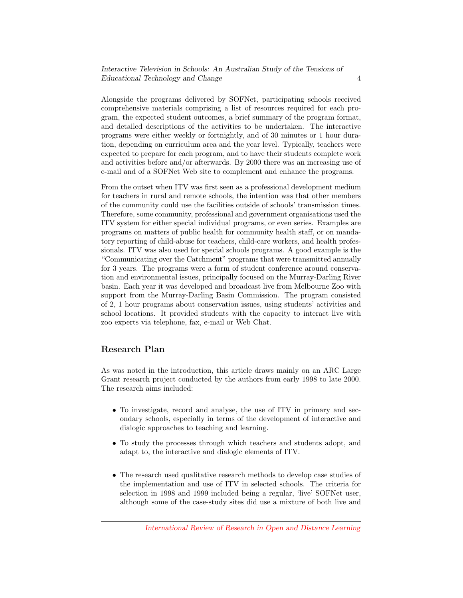Alongside the programs delivered by SOFNet, participating schools received comprehensive materials comprising a list of resources required for each program, the expected student outcomes, a brief summary of the program format, and detailed descriptions of the activities to be undertaken. The interactive programs were either weekly or fortnightly, and of 30 minutes or 1 hour duration, depending on curriculum area and the year level. Typically, teachers were expected to prepare for each program, and to have their students complete work and activities before and/or afterwards. By 2000 there was an increasing use of e-mail and of a SOFNet Web site to complement and enhance the programs.

From the outset when ITV was first seen as a professional development medium for teachers in rural and remote schools, the intention was that other members of the community could use the facilities outside of schools' transmission times. Therefore, some community, professional and government organisations used the ITV system for either special individual programs, or even series. Examples are programs on matters of public health for community health staff, or on mandatory reporting of child-abuse for teachers, child-care workers, and health professionals. ITV was also used for special schools programs. A good example is the "Communicating over the Catchment" programs that were transmitted annually for 3 years. The programs were a form of student conference around conservation and environmental issues, principally focused on the Murray-Darling River basin. Each year it was developed and broadcast live from Melbourne Zoo with support from the Murray-Darling Basin Commission. The program consisted of 2, 1 hour programs about conservation issues, using students' activities and school locations. It provided students with the capacity to interact live with zoo experts via telephone, fax, e-mail or Web Chat.

## Research Plan

As was noted in the introduction, this article draws mainly on an ARC Large Grant research project conducted by the authors from early 1998 to late 2000. The research aims included:

- To investigate, record and analyse, the use of ITV in primary and secondary schools, especially in terms of the development of interactive and dialogic approaches to teaching and learning.
- To study the processes through which teachers and students adopt, and adapt to, the interactive and dialogic elements of ITV.
- The research used qualitative research methods to develop case studies of the implementation and use of ITV in selected schools. The criteria for selection in 1998 and 1999 included being a regular, 'live' SOFNet user, although some of the case-study sites did use a mixture of both live and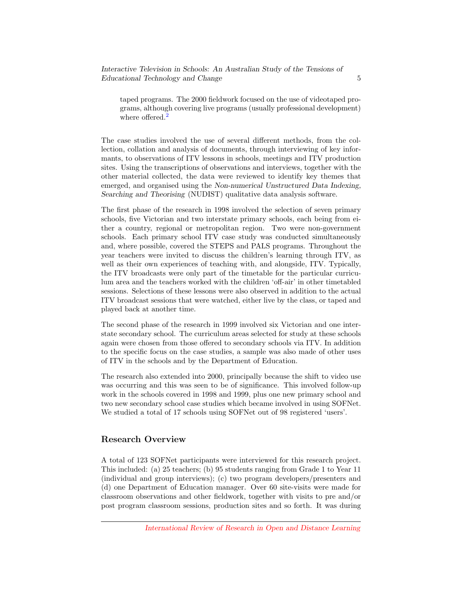<span id="page-4-0"></span>taped programs. The 2000 fieldwork focused on the use of videotaped programs, although covering live programs (usually professional development) where offered.<sup>[2](#page-15-1)</sup>

The case studies involved the use of several different methods, from the collection, collation and analysis of documents, through interviewing of key informants, to observations of ITV lessons in schools, meetings and ITV production sites. Using the transcriptions of observations and interviews, together with the other material collected, the data were reviewed to identify key themes that emerged, and organised using the Non-numerical Unstructured Data Indexing, Searching and Theorising (NUDIST) qualitative data analysis software.

The first phase of the research in 1998 involved the selection of seven primary schools, five Victorian and two interstate primary schools, each being from either a country, regional or metropolitan region. Two were non-government schools. Each primary school ITV case study was conducted simultaneously and, where possible, covered the STEPS and PALS programs. Throughout the year teachers were invited to discuss the children's learning through ITV, as well as their own experiences of teaching with, and alongside, ITV. Typically, the ITV broadcasts were only part of the timetable for the particular curriculum area and the teachers worked with the children 'off-air' in other timetabled sessions. Selections of these lessons were also observed in addition to the actual ITV broadcast sessions that were watched, either live by the class, or taped and played back at another time.

The second phase of the research in 1999 involved six Victorian and one interstate secondary school. The curriculum areas selected for study at these schools again were chosen from those offered to secondary schools via ITV. In addition to the specific focus on the case studies, a sample was also made of other uses of ITV in the schools and by the Department of Education.

The research also extended into 2000, principally because the shift to video use was occurring and this was seen to be of significance. This involved follow-up work in the schools covered in 1998 and 1999, plus one new primary school and two new secondary school case studies which became involved in using SOFNet. We studied a total of 17 schools using SOFNet out of 98 registered 'users'.

#### Research Overview

A total of 123 SOFNet participants were interviewed for this research project. This included: (a) 25 teachers; (b) 95 students ranging from Grade 1 to Year 11 (individual and group interviews); (c) two program developers/presenters and (d) one Department of Education manager. Over 60 site-visits were made for classroom observations and other fieldwork, together with visits to pre and/or post program classroom sessions, production sites and so forth. It was during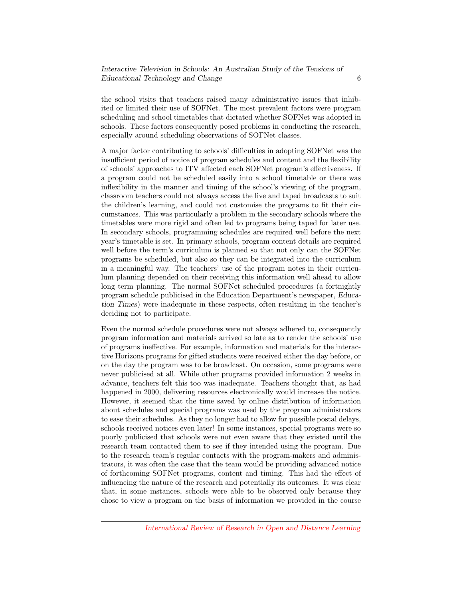the school visits that teachers raised many administrative issues that inhibited or limited their use of SOFNet. The most prevalent factors were program scheduling and school timetables that dictated whether SOFNet was adopted in schools. These factors consequently posed problems in conducting the research, especially around scheduling observations of SOFNet classes.

A major factor contributing to schools' difficulties in adopting SOFNet was the insufficient period of notice of program schedules and content and the flexibility of schools' approaches to ITV affected each SOFNet program's effectiveness. If a program could not be scheduled easily into a school timetable or there was inflexibility in the manner and timing of the school's viewing of the program, classroom teachers could not always access the live and taped broadcasts to suit the children's learning, and could not customise the programs to fit their circumstances. This was particularly a problem in the secondary schools where the timetables were more rigid and often led to programs being taped for later use. In secondary schools, programming schedules are required well before the next year's timetable is set. In primary schools, program content details are required well before the term's curriculum is planned so that not only can the SOFNet programs be scheduled, but also so they can be integrated into the curriculum in a meaningful way. The teachers' use of the program notes in their curriculum planning depended on their receiving this information well ahead to allow long term planning. The normal SOFNet scheduled procedures (a fortnightly program schedule publicised in the Education Department's newspaper, Education Times) were inadequate in these respects, often resulting in the teacher's deciding not to participate.

Even the normal schedule procedures were not always adhered to, consequently program information and materials arrived so late as to render the schools' use of programs ineffective. For example, information and materials for the interactive Horizons programs for gifted students were received either the day before, or on the day the program was to be broadcast. On occasion, some programs were never publicised at all. While other programs provided information 2 weeks in advance, teachers felt this too was inadequate. Teachers thought that, as had happened in 2000, delivering resources electronically would increase the notice. However, it seemed that the time saved by online distribution of information about schedules and special programs was used by the program administrators to ease their schedules. As they no longer had to allow for possible postal delays, schools received notices even later! In some instances, special programs were so poorly publicised that schools were not even aware that they existed until the research team contacted them to see if they intended using the program. Due to the research team's regular contacts with the program-makers and administrators, it was often the case that the team would be providing advanced notice of forthcoming SOFNet programs, content and timing. This had the effect of influencing the nature of the research and potentially its outcomes. It was clear that, in some instances, schools were able to be observed only because they chose to view a program on the basis of information we provided in the course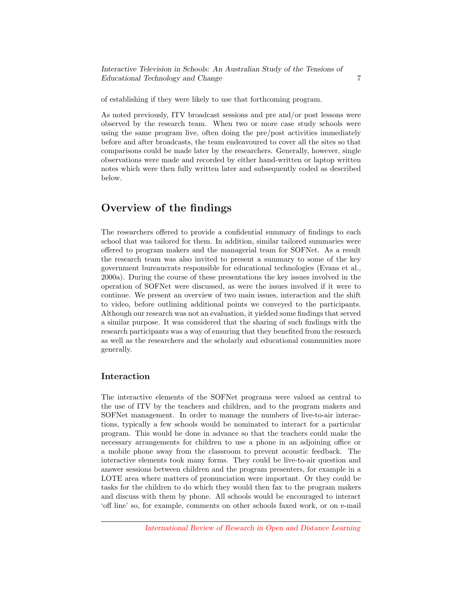of establishing if they were likely to use that forthcoming program.

As noted previously, ITV broadcast sessions and pre and/or post lessons were observed by the research team. When two or more case study schools were using the same program live, often doing the pre/post activities immediately before and after broadcasts, the team endeavoured to cover all the sites so that comparisons could be made later by the researchers. Generally, however, single observations were made and recorded by either hand-written or laptop written notes which were then fully written later and subsequently coded as described below.

## Overview of the findings

The researchers offered to provide a confidential summary of findings to each school that was tailored for them. In addition, similar tailored summaries were offered to program makers and the managerial team for SOFNet. As a result the research team was also invited to present a summary to some of the key government bureaucrats responsible for educational technologies (Evans et al., 2000a). During the course of these presentations the key issues involved in the operation of SOFNet were discussed, as were the issues involved if it were to continue. We present an overview of two main issues, interaction and the shift to video, before outlining additional points we conveyed to the participants. Although our research was not an evaluation, it yielded some findings that served a similar purpose. It was considered that the sharing of such findings with the research participants was a way of ensuring that they benefited from the research as well as the researchers and the scholarly and educational communities more generally.

#### Interaction

The interactive elements of the SOFNet programs were valued as central to the use of ITV by the teachers and children, and to the program makers and SOFNet management. In order to manage the numbers of live-to-air interactions, typically a few schools would be nominated to interact for a particular program. This would be done in advance so that the teachers could make the necessary arrangements for children to use a phone in an adjoining office or a mobile phone away from the classroom to prevent acoustic feedback. The interactive elements took many forms. They could be live-to-air question and answer sessions between children and the program presenters, for example in a LOTE area where matters of pronunciation were important. Or they could be tasks for the children to do which they would then fax to the program makers and discuss with them by phone. All schools would be encouraged to interact 'off line' so, for example, comments on other schools faxed work, or on e-mail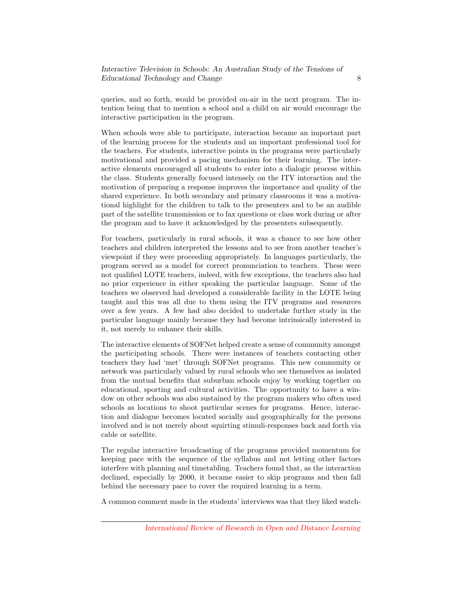queries, and so forth, would be provided on-air in the next program. The intention being that to mention a school and a child on air would encourage the interactive participation in the program.

When schools were able to participate, interaction became an important part of the learning process for the students and an important professional tool for the teachers. For students, interactive points in the programs were particularly motivational and provided a pacing mechanism for their learning. The interactive elements encouraged all students to enter into a dialogic process within the class. Students generally focused intensely on the ITV interaction and the motivation of preparing a response improves the importance and quality of the shared experience. In both secondary and primary classrooms it was a motivational highlight for the children to talk to the presenters and to be an audible part of the satellite transmission or to fax questions or class work during or after the program and to have it acknowledged by the presenters subsequently.

For teachers, particularly in rural schools, it was a chance to see how other teachers and children interpreted the lessons and to see from another teacher's viewpoint if they were proceeding appropriately. In languages particularly, the program served as a model for correct pronunciation to teachers. These were not qualified LOTE teachers, indeed, with few exceptions, the teachers also had no prior experience in either speaking the particular language. Some of the teachers we observed had developed a considerable facility in the LOTE being taught and this was all due to them using the ITV programs and resources over a few years. A few had also decided to undertake further study in the particular language mainly because they had become intrinsically interested in it, not merely to enhance their skills.

The interactive elements of SOFNet helped create a sense of community amongst the participating schools. There were instances of teachers contacting other teachers they had 'met' through SOFNet programs. This new community or network was particularly valued by rural schools who see themselves as isolated from the mutual benefits that suburban schools enjoy by working together on educational, sporting and cultural activities. The opportunity to have a window on other schools was also sustained by the program makers who often used schools as locations to shoot particular scenes for programs. Hence, interaction and dialogue becomes located socially and geographically for the persons involved and is not merely about squirting stimuli-responses back and forth via cable or satellite.

The regular interactive broadcasting of the programs provided momentum for keeping pace with the sequence of the syllabus and not letting other factors interfere with planning and timetabling. Teachers found that, as the interaction declined, especially by 2000, it became easier to skip programs and then fall behind the necessary pace to cover the required learning in a term.

A common comment made in the students' interviews was that they liked watch-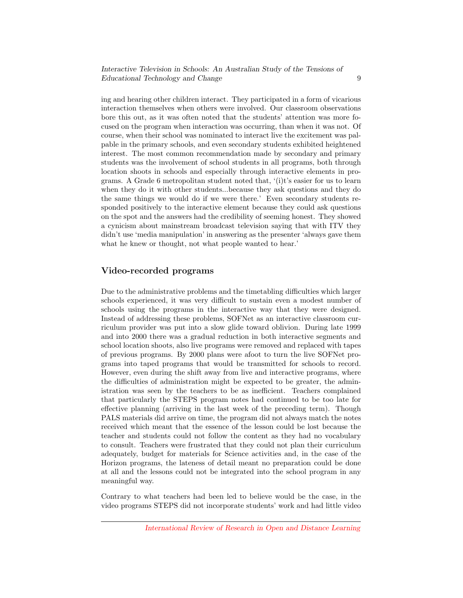ing and hearing other children interact. They participated in a form of vicarious interaction themselves when others were involved. Our classroom observations bore this out, as it was often noted that the students' attention was more focused on the program when interaction was occurring, than when it was not. Of course, when their school was nominated to interact live the excitement was palpable in the primary schools, and even secondary students exhibited heightened interest. The most common recommendation made by secondary and primary students was the involvement of school students in all programs, both through location shoots in schools and especially through interactive elements in programs. A Grade 6 metropolitan student noted that, '(i)t's easier for us to learn when they do it with other students...because they ask questions and they do the same things we would do if we were there.' Even secondary students responded positively to the interactive element because they could ask questions on the spot and the answers had the credibility of seeming honest. They showed a cynicism about mainstream broadcast television saying that with ITV they didn't use 'media manipulation' in answering as the presenter 'always gave them what he knew or thought, not what people wanted to hear.'

#### Video-recorded programs

Due to the administrative problems and the timetabling difficulties which larger schools experienced, it was very difficult to sustain even a modest number of schools using the programs in the interactive way that they were designed. Instead of addressing these problems, SOFNet as an interactive classroom curriculum provider was put into a slow glide toward oblivion. During late 1999 and into 2000 there was a gradual reduction in both interactive segments and school location shoots, also live programs were removed and replaced with tapes of previous programs. By 2000 plans were afoot to turn the live SOFNet programs into taped programs that would be transmitted for schools to record. However, even during the shift away from live and interactive programs, where the difficulties of administration might be expected to be greater, the administration was seen by the teachers to be as inefficient. Teachers complained that particularly the STEPS program notes had continued to be too late for effective planning (arriving in the last week of the preceding term). Though PALS materials did arrive on time, the program did not always match the notes received which meant that the essence of the lesson could be lost because the teacher and students could not follow the content as they had no vocabulary to consult. Teachers were frustrated that they could not plan their curriculum adequately, budget for materials for Science activities and, in the case of the Horizon programs, the lateness of detail meant no preparation could be done at all and the lessons could not be integrated into the school program in any meaningful way.

Contrary to what teachers had been led to believe would be the case, in the video programs STEPS did not incorporate students' work and had little video

[International Review of Research in Open and Distance Learning](http://www.irrodl.org)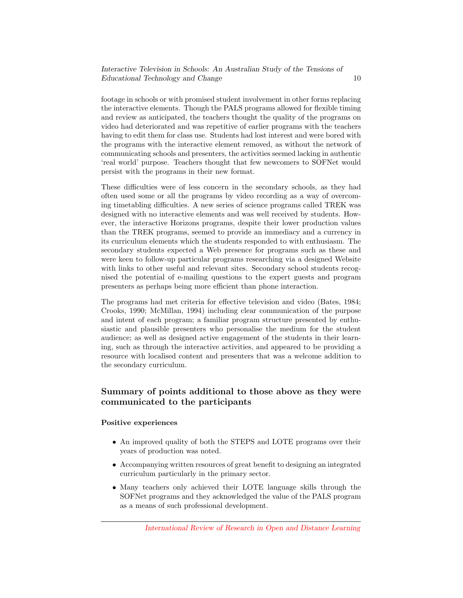footage in schools or with promised student involvement in other forms replacing the interactive elements. Though the PALS programs allowed for flexible timing and review as anticipated, the teachers thought the quality of the programs on video had deteriorated and was repetitive of earlier programs with the teachers having to edit them for class use. Students had lost interest and were bored with the programs with the interactive element removed, as without the network of communicating schools and presenters, the activities seemed lacking in authentic 'real world' purpose. Teachers thought that few newcomers to SOFNet would persist with the programs in their new format.

These difficulties were of less concern in the secondary schools, as they had often used some or all the programs by video recording as a way of overcoming timetabling difficulties. A new series of science programs called TREK was designed with no interactive elements and was well received by students. However, the interactive Horizons programs, despite their lower production values than the TREK programs, seemed to provide an immediacy and a currency in its curriculum elements which the students responded to with enthusiasm. The secondary students expected a Web presence for programs such as these and were keen to follow-up particular programs researching via a designed Website with links to other useful and relevant sites. Secondary school students recognised the potential of e-mailing questions to the expert guests and program presenters as perhaps being more efficient than phone interaction.

The programs had met criteria for effective television and video (Bates, 1984; Crooks, 1990; McMillan, 1994) including clear communication of the purpose and intent of each program; a familiar program structure presented by enthusiastic and plausible presenters who personalise the medium for the student audience; as well as designed active engagement of the students in their learning, such as through the interactive activities, and appeared to be providing a resource with localised content and presenters that was a welcome addition to the secondary curriculum.

## Summary of points additional to those above as they were communicated to the participants

#### Positive experiences

- An improved quality of both the STEPS and LOTE programs over their years of production was noted.
- Accompanying written resources of great benefit to designing an integrated curriculum particularly in the primary sector.
- Many teachers only achieved their LOTE language skills through the SOFNet programs and they acknowledged the value of the PALS program as a means of such professional development.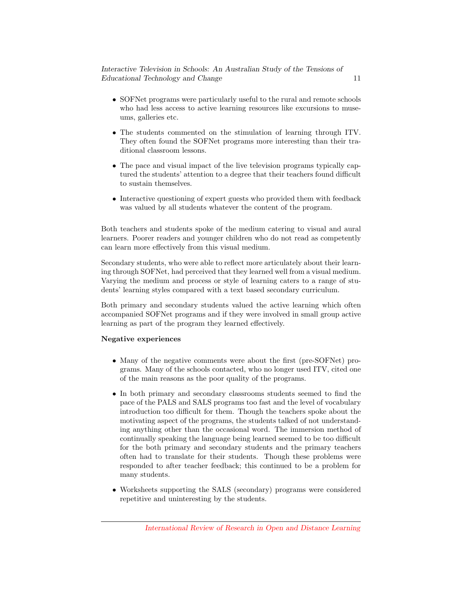- SOFNet programs were particularly useful to the rural and remote schools who had less access to active learning resources like excursions to museums, galleries etc.
- The students commented on the stimulation of learning through ITV. They often found the SOFNet programs more interesting than their traditional classroom lessons.
- The pace and visual impact of the live television programs typically captured the students' attention to a degree that their teachers found difficult to sustain themselves.
- Interactive questioning of expert guests who provided them with feedback was valued by all students whatever the content of the program.

Both teachers and students spoke of the medium catering to visual and aural learners. Poorer readers and younger children who do not read as competently can learn more effectively from this visual medium.

Secondary students, who were able to reflect more articulately about their learning through SOFNet, had perceived that they learned well from a visual medium. Varying the medium and process or style of learning caters to a range of students' learning styles compared with a text based secondary curriculum.

Both primary and secondary students valued the active learning which often accompanied SOFNet programs and if they were involved in small group active learning as part of the program they learned effectively.

#### Negative experiences

- Many of the negative comments were about the first (pre-SOFNet) programs. Many of the schools contacted, who no longer used ITV, cited one of the main reasons as the poor quality of the programs.
- In both primary and secondary classrooms students seemed to find the pace of the PALS and SALS programs too fast and the level of vocabulary introduction too difficult for them. Though the teachers spoke about the motivating aspect of the programs, the students talked of not understanding anything other than the occasional word. The immersion method of continually speaking the language being learned seemed to be too difficult for the both primary and secondary students and the primary teachers often had to translate for their students. Though these problems were responded to after teacher feedback; this continued to be a problem for many students.
- Worksheets supporting the SALS (secondary) programs were considered repetitive and uninteresting by the students.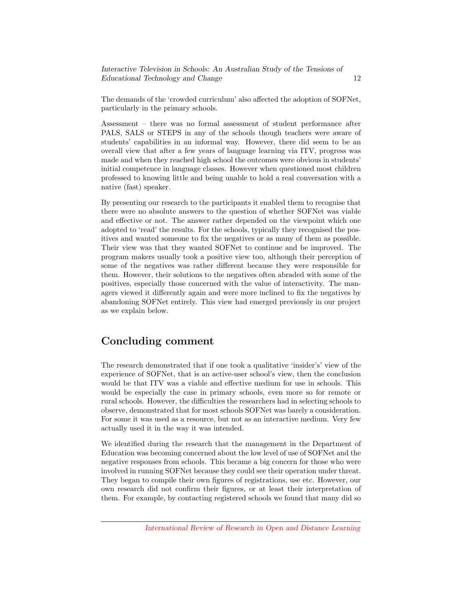The demands of the 'crowded curriculum' also affected the adoption of SOFNet, particularly in the primary schools.

Assessment – there was no formal assessment of student performance after PALS, SALS or STEPS in any of the schools though teachers were aware of students' capabilities in an informal way. However, there did seem to be an overall view that after a few years of language learning via ITV, progress was made and when they reached high school the outcomes were obvious in students' initial competence in language classes. However when questioned most children professed to knowing little and being unable to hold a real conversation with a native (fast) speaker.

By presenting our research to the participants it enabled them to recognise that there were no absolute answers to the question of whether SOFNet was viable and effective or not. The answer rather depended on the viewpoint which one adopted to 'read' the results. For the schools, typically they recognised the positives and wanted someone to fix the negatives or as many of them as possible. Their view was that they wanted SOFNet to continue and be improved. The program makers usually took a positive view too, although their perception of some of the negatives was rather different because they were responsible for them. However, their solutions to the negatives often abraded with some of the positives, especially those concerned with the value of interactivity. The managers viewed it differently again and were more inclined to fix the negatives by abandoning SOFNet entirely. This view had emerged previously in our project as we explain below.

# Concluding comment

The research demonstrated that if one took a qualitative 'insider's' view of the experience of SOFNet, that is an active-user school's view, then the conclusion would be that ITV was a viable and effective medium for use in schools. This would be especially the case in primary schools, even more so for remote or rural schools. However, the difficulties the researchers had in selecting schools to observe, demonstrated that for most schools SOFNet was barely a consideration. For some it was used as a resource, but not as an interactive medium. Very few actually used it in the way it was intended.

We identified during the research that the management in the Department of Education was becoming concerned about the low level of use of SOFNet and the negative responses from schools. This became a big concern for those who were involved in running SOFNet because they could see their operation under threat. They began to compile their own figures of registrations, use etc. However, our own research did not confirm their figures, or at least their interpretation of them. For example, by contacting registered schools we found that many did so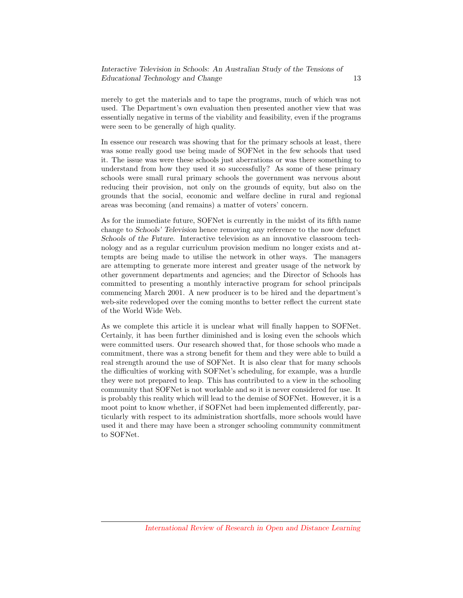merely to get the materials and to tape the programs, much of which was not used. The Department's own evaluation then presented another view that was essentially negative in terms of the viability and feasibility, even if the programs were seen to be generally of high quality.

In essence our research was showing that for the primary schools at least, there was some really good use being made of SOFNet in the few schools that used it. The issue was were these schools just aberrations or was there something to understand from how they used it so successfully? As some of these primary schools were small rural primary schools the government was nervous about reducing their provision, not only on the grounds of equity, but also on the grounds that the social, economic and welfare decline in rural and regional areas was becoming (and remains) a matter of voters' concern.

As for the immediate future, SOFNet is currently in the midst of its fifth name change to Schools' Television hence removing any reference to the now defunct Schools of the Future. Interactive television as an innovative classroom technology and as a regular curriculum provision medium no longer exists and attempts are being made to utilise the network in other ways. The managers are attempting to generate more interest and greater usage of the network by other government departments and agencies; and the Director of Schools has committed to presenting a monthly interactive program for school principals commencing March 2001. A new producer is to be hired and the department's web-site redeveloped over the coming months to better reflect the current state of the World Wide Web.

As we complete this article it is unclear what will finally happen to SOFNet. Certainly, it has been further diminished and is losing even the schools which were committed users. Our research showed that, for those schools who made a commitment, there was a strong benefit for them and they were able to build a real strength around the use of SOFNet. It is also clear that for many schools the difficulties of working with SOFNet's scheduling, for example, was a hurdle they were not prepared to leap. This has contributed to a view in the schooling community that SOFNet is not workable and so it is never considered for use. It is probably this reality which will lead to the demise of SOFNet. However, it is a moot point to know whether, if SOFNet had been implemented differently, particularly with respect to its administration shortfalls, more schools would have used it and there may have been a stronger schooling community commitment to SOFNet.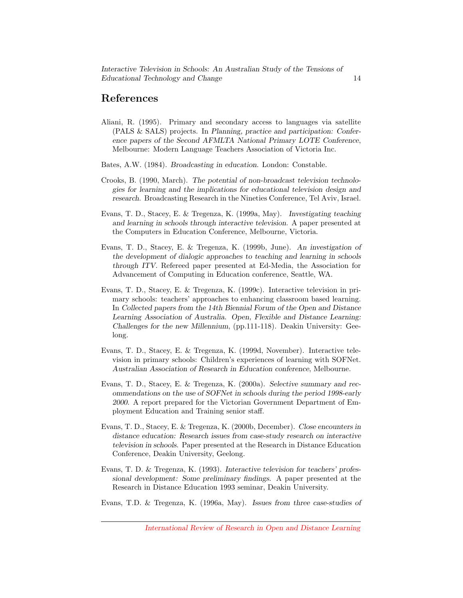## References

- Aliani, R. (1995). Primary and secondary access to languages via satellite (PALS & SALS) projects. In Planning, practice and participation: Conference papers of the Second AFMLTA National Primary LOTE Conference, Melbourne: Modern Language Teachers Association of Victoria Inc.
- Bates, A.W. (1984). Broadcasting in education. London: Constable.
- Crooks, B. (1990, March). The potential of non-broadcast television technologies for learning and the implications for educational television design and research. Broadcasting Research in the Nineties Conference, Tel Aviv, Israel.
- Evans, T. D., Stacey, E. & Tregenza, K. (1999a, May). Investigating teaching and learning in schools through interactive television. A paper presented at the Computers in Education Conference, Melbourne, Victoria.
- Evans, T. D., Stacey, E. & Tregenza, K. (1999b, June). An investigation of the development of dialogic approaches to teaching and learning in schools through ITV. Refereed paper presented at Ed-Media, the Association for Advancement of Computing in Education conference, Seattle, WA.
- Evans, T. D., Stacey, E. & Tregenza, K. (1999c). Interactive television in primary schools: teachers' approaches to enhancing classroom based learning. In Collected papers from the 14th Biennial Forum of the Open and Distance Learning Association of Australia. Open, Flexible and Distance Learning: Challenges for the new Millennium, (pp.111-118). Deakin University: Geelong.
- Evans, T. D., Stacey, E. & Tregenza, K. (1999d, November). Interactive television in primary schools: Children's experiences of learning with SOFNet. Australian Association of Research in Education conference, Melbourne.
- Evans, T. D., Stacey, E. & Tregenza, K. (2000a). Selective summary and recommendations on the use of SOFNet in schools during the period 1998-early 2000. A report prepared for the Victorian Government Department of Employment Education and Training senior staff.
- Evans, T. D., Stacey, E. & Tregenza, K. (2000b, December). Close encounters in distance education: Research issues from case-study research on interactive television in schools. Paper presented at the Research in Distance Education Conference, Deakin University, Geelong.
- Evans, T. D. & Tregenza, K. (1993). Interactive television for teachers' professional development: Some preliminary findings. A paper presented at the Research in Distance Education 1993 seminar, Deakin University.
- Evans, T.D. & Tregenza, K. (1996a, May). Issues from three case-studies of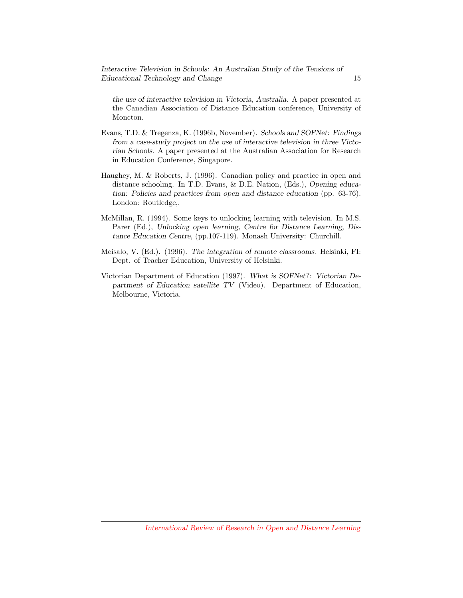the use of interactive television in Victoria, Australia. A paper presented at the Canadian Association of Distance Education conference, University of Moncton.

- Evans, T.D. & Tregenza, K. (1996b, November). Schools and SOFNet: Findings from a case-study project on the use of interactive television in three Victorian Schools. A paper presented at the Australian Association for Research in Education Conference, Singapore.
- Haughey, M. & Roberts, J. (1996). Canadian policy and practice in open and distance schooling. In T.D. Evans, & D.E. Nation, (Eds.), Opening education: Policies and practices from open and distance education (pp. 63-76). London: Routledge,.
- McMillan, R. (1994). Some keys to unlocking learning with television. In M.S. Parer (Ed.), Unlocking open learning, Centre for Distance Learning, Distance Education Centre, (pp.107-119). Monash University: Churchill.
- Meisalo, V. (Ed.). (1996). The integration of remote classrooms. Helsinki, FI: Dept. of Teacher Education, University of Helsinki.
- Victorian Department of Education (1997). What is SOFNet?: Victorian Department of Education satellite TV (Video). Department of Education, Melbourne, Victoria.